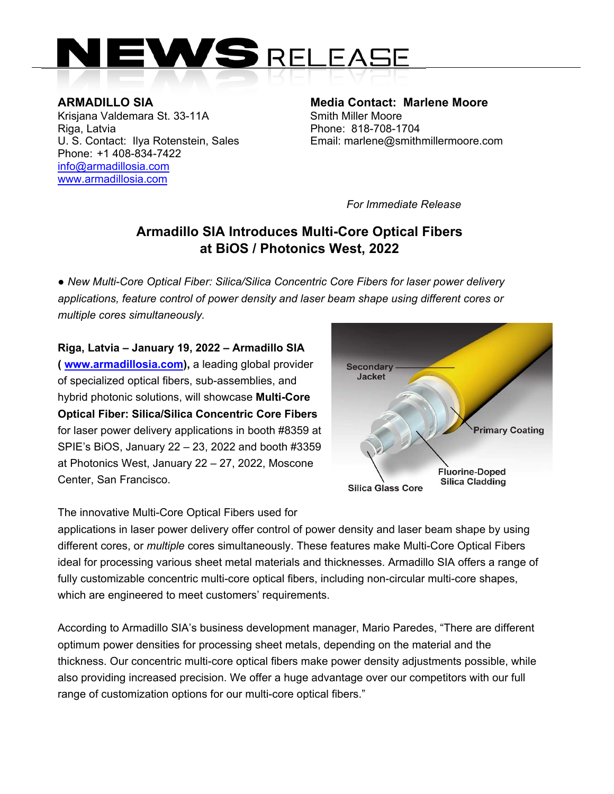

**ARMADILLO SIA**<br>
Krisiana Valdemara St. 33-11A Smith Miller Moore Krisjana Valdemara St. 33-11A Riga, Latvia **Phone: 818-708-1704** Phone: +1 408-834-7422 info@armadillosia.com www.armadillosia.com

U. S. Contact: Ilya Rotenstein, Sales **Email: marlene@smithmillermoore.com** 

*For Immediate Release* 

## **Armadillo SIA Introduces Multi-Core Optical Fibers at BiOS / Photonics West, 2022**

*● New Multi-Core Optical Fiber: Silica/Silica Concentric Core Fibers for laser power delivery applications, feature control of power density and laser beam shape using different cores or multiple cores simultaneously.* 

**Riga, Latvia – January 19, 2022 – Armadillo SIA ( www.armadillosia.com),** a leading global provider of specialized optical fibers, sub-assemblies, and hybrid photonic solutions, will showcase **Multi-Core Optical Fiber: Silica/Silica Concentric Core Fibers**  for laser power delivery applications in booth #8359 at SPIE's BiOS, January 22 – 23, 2022 and booth #3359 at Photonics West, January 22 – 27, 2022, Moscone Center, San Francisco.



The innovative Multi-Core Optical Fibers used for

applications in laser power delivery offer control of power density and laser beam shape by using different cores, or *multiple* cores simultaneously. These features make Multi-Core Optical Fibers ideal for processing various sheet metal materials and thicknesses. Armadillo SIA offers a range of fully customizable concentric multi-core optical fibers, including non-circular multi-core shapes, which are engineered to meet customers' requirements.

According to Armadillo SIA's business development manager, Mario Paredes, "There are different optimum power densities for processing sheet metals, depending on the material and the thickness. Our concentric multi-core optical fibers make power density adjustments possible, while also providing increased precision. We offer a huge advantage over our competitors with our full range of customization options for our multi-core optical fibers."